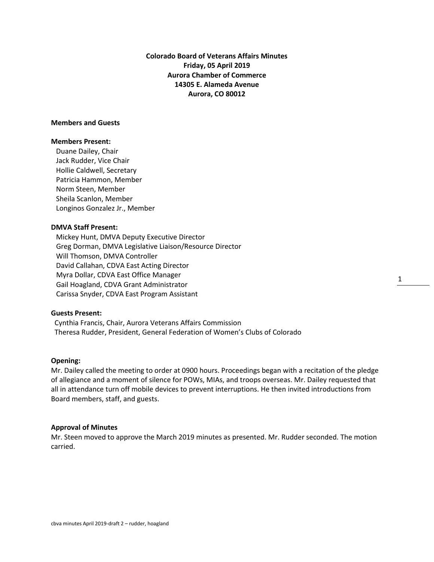**Colorado Board of Veterans Affairs Minutes Friday, 05 April 2019 Aurora Chamber of Commerce 14305 E. Alameda Avenue Aurora, CO 80012**

## **Members and Guests**

#### **Members Present:**

Duane Dailey, Chair Jack Rudder, Vice Chair Hollie Caldwell, Secretary Patricia Hammon, Member Norm Steen, Member Sheila Scanlon, Member Longinos Gonzalez Jr., Member

#### **DMVA Staff Present:**

Mickey Hunt, DMVA Deputy Executive Director Greg Dorman, DMVA Legislative Liaison/Resource Director Will Thomson, DMVA Controller David Callahan, CDVA East Acting Director Myra Dollar, CDVA East Office Manager Gail Hoagland, CDVA Grant Administrator Carissa Snyder, CDVA East Program Assistant

### **Guests Present:**

 Cynthia Francis, Chair, Aurora Veterans Affairs Commission Theresa Rudder, President, General Federation of Women's Clubs of Colorado

#### **Opening:**

Mr. Dailey called the meeting to order at 0900 hours. Proceedings began with a recitation of the pledge of allegiance and a moment of silence for POWs, MIAs, and troops overseas. Mr. Dailey requested that all in attendance turn off mobile devices to prevent interruptions. He then invited introductions from Board members, staff, and guests.

#### **Approval of Minutes**

Mr. Steen moved to approve the March 2019 minutes as presented. Mr. Rudder seconded. The motion carried.

1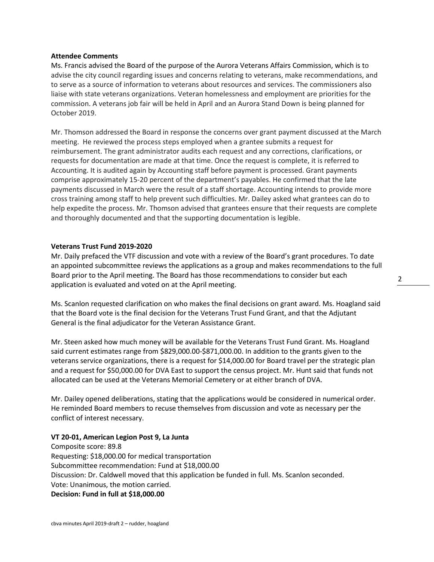#### **Attendee Comments**

Ms. Francis advised the Board of the purpose of the Aurora Veterans Affairs Commission, which is to advise the city council regarding issues and concerns relating to veterans, make recommendations, and to serve as a source of information to veterans about resources and services. The commissioners also liaise with state veterans organizations. Veteran homelessness and employment are priorities for the commission. A veterans job fair will be held in April and an Aurora Stand Down is being planned for October 2019.

Mr. Thomson addressed the Board in response the concerns over grant payment discussed at the March meeting. He reviewed the process steps employed when a grantee submits a request for reimbursement. The grant administrator audits each request and any corrections, clarifications, or requests for documentation are made at that time. Once the request is complete, it is referred to Accounting. It is audited again by Accounting staff before payment is processed. Grant payments comprise approximately 15-20 percent of the department's payables. He confirmed that the late payments discussed in March were the result of a staff shortage. Accounting intends to provide more cross training among staff to help prevent such difficulties. Mr. Dailey asked what grantees can do to help expedite the process. Mr. Thomson advised that grantees ensure that their requests are complete and thoroughly documented and that the supporting documentation is legible.

## **Veterans Trust Fund 2019-2020**

Mr. Daily prefaced the VTF discussion and vote with a review of the Board's grant procedures. To date an appointed subcommittee reviews the applications as a group and makes recommendations to the full Board prior to the April meeting. The Board has those recommendations to consider but each application is evaluated and voted on at the April meeting.

Ms. Scanlon requested clarification on who makes the final decisions on grant award. Ms. Hoagland said that the Board vote is the final decision for the Veterans Trust Fund Grant, and that the Adjutant General is the final adjudicator for the Veteran Assistance Grant.

Mr. Steen asked how much money will be available for the Veterans Trust Fund Grant. Ms. Hoagland said current estimates range from \$829,000.00-\$871,000.00. In addition to the grants given to the veterans service organizations, there is a request for \$14,000.00 for Board travel per the strategic plan and a request for \$50,000.00 for DVA East to support the census project. Mr. Hunt said that funds not allocated can be used at the Veterans Memorial Cemetery or at either branch of DVA.

Mr. Dailey opened deliberations, stating that the applications would be considered in numerical order. He reminded Board members to recuse themselves from discussion and vote as necessary per the conflict of interest necessary.

## **VT 20-01, American Legion Post 9, La Junta**

Composite score: 89.8 Requesting: \$18,000.00 for medical transportation Subcommittee recommendation: Fund at \$18,000.00 Discussion: Dr. Caldwell moved that this application be funded in full. Ms. Scanlon seconded. Vote: Unanimous, the motion carried. **Decision: Fund in full at \$18,000.00**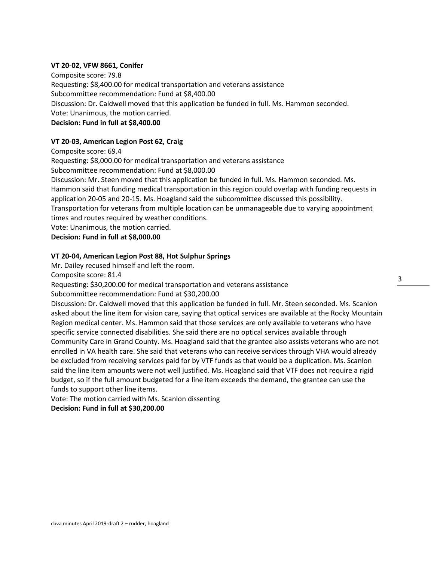## **VT 20-02, VFW 8661, Conifer**

Composite score: 79.8 Requesting: \$8,400.00 for medical transportation and veterans assistance Subcommittee recommendation: Fund at \$8,400.00 Discussion: Dr. Caldwell moved that this application be funded in full. Ms. Hammon seconded. Vote: Unanimous, the motion carried. **Decision: Fund in full at \$8,400.00**

## **VT 20-03, American Legion Post 62, Craig**

Composite score: 69.4 Requesting: \$8,000.00 for medical transportation and veterans assistance Subcommittee recommendation: Fund at \$8,000.00 Discussion: Mr. Steen moved that this application be funded in full. Ms. Hammon seconded. Ms. Hammon said that funding medical transportation in this region could overlap with funding requests in application 20-05 and 20-15. Ms. Hoagland said the subcommittee discussed this possibility. Transportation for veterans from multiple location can be unmanageable due to varying appointment times and routes required by weather conditions. Vote: Unanimous, the motion carried. **Decision: Fund in full at \$8,000.00**

#### **VT 20-04, American Legion Post 88, Hot Sulphur Springs**

Mr. Dailey recused himself and left the room.

Composite score: 81.4

Requesting: \$30,200.00 for medical transportation and veterans assistance

Subcommittee recommendation: Fund at \$30,200.00

Discussion: Dr. Caldwell moved that this application be funded in full. Mr. Steen seconded. Ms. Scanlon asked about the line item for vision care, saying that optical services are available at the Rocky Mountain Region medical center. Ms. Hammon said that those services are only available to veterans who have specific service connected disabilities. She said there are no optical services available through Community Care in Grand County. Ms. Hoagland said that the grantee also assists veterans who are not enrolled in VA health care. She said that veterans who can receive services through VHA would already be excluded from receiving services paid for by VTF funds as that would be a duplication. Ms. Scanlon said the line item amounts were not well justified. Ms. Hoagland said that VTF does not require a rigid budget, so if the full amount budgeted for a line item exceeds the demand, the grantee can use the funds to support other line items.

Vote: The motion carried with Ms. Scanlon dissenting **Decision: Fund in full at \$30,200.00**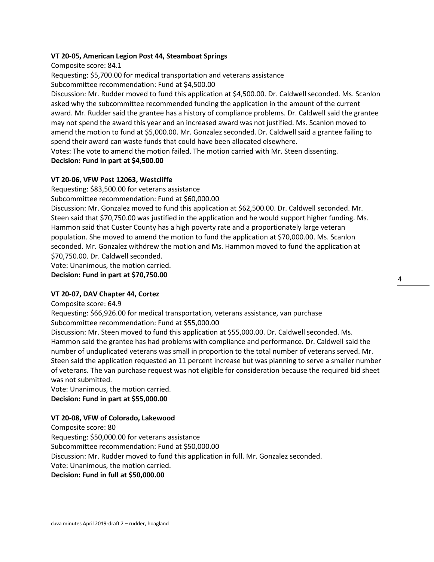## **VT 20-05, American Legion Post 44, Steamboat Springs**

Composite score: 84.1

Requesting: \$5,700.00 for medical transportation and veterans assistance Subcommittee recommendation: Fund at \$4,500.00

Discussion: Mr. Rudder moved to fund this application at \$4,500.00. Dr. Caldwell seconded. Ms. Scanlon asked why the subcommittee recommended funding the application in the amount of the current award. Mr. Rudder said the grantee has a history of compliance problems. Dr. Caldwell said the grantee may not spend the award this year and an increased award was not justified. Ms. Scanlon moved to amend the motion to fund at \$5,000.00. Mr. Gonzalez seconded. Dr. Caldwell said a grantee failing to spend their award can waste funds that could have been allocated elsewhere.

Votes: The vote to amend the motion failed. The motion carried with Mr. Steen dissenting.

# **Decision: Fund in part at \$4,500.00**

# **VT 20-06, VFW Post 12063, Westcliffe**

Requesting: \$83,500.00 for veterans assistance

Subcommittee recommendation: Fund at \$60,000.00

Discussion: Mr. Gonzalez moved to fund this application at \$62,500.00. Dr. Caldwell seconded. Mr. Steen said that \$70,750.00 was justified in the application and he would support higher funding. Ms. Hammon said that Custer County has a high poverty rate and a proportionately large veteran population. She moved to amend the motion to fund the application at \$70,000.00. Ms. Scanlon seconded. Mr. Gonzalez withdrew the motion and Ms. Hammon moved to fund the application at \$70,750.00. Dr. Caldwell seconded.

Vote: Unanimous, the motion carried.

**Decision: Fund in part at \$70,750.00**

# **VT 20-07, DAV Chapter 44, Cortez**

Composite score: 64.9

Requesting: \$66,926.00 for medical transportation, veterans assistance, van purchase Subcommittee recommendation: Fund at \$55,000.00

Discussion: Mr. Steen moved to fund this application at \$55,000.00. Dr. Caldwell seconded. Ms. Hammon said the grantee has had problems with compliance and performance. Dr. Caldwell said the number of unduplicated veterans was small in proportion to the total number of veterans served. Mr. Steen said the application requested an 11 percent increase but was planning to serve a smaller number of veterans. The van purchase request was not eligible for consideration because the required bid sheet was not submitted.

Vote: Unanimous, the motion carried. **Decision: Fund in part at \$55,000.00**

# **VT 20-08, VFW of Colorado, Lakewood**

Composite score: 80 Requesting: \$50,000.00 for veterans assistance Subcommittee recommendation: Fund at \$50,000.00 Discussion: Mr. Rudder moved to fund this application in full. Mr. Gonzalez seconded. Vote: Unanimous, the motion carried. **Decision: Fund in full at \$50,000.00**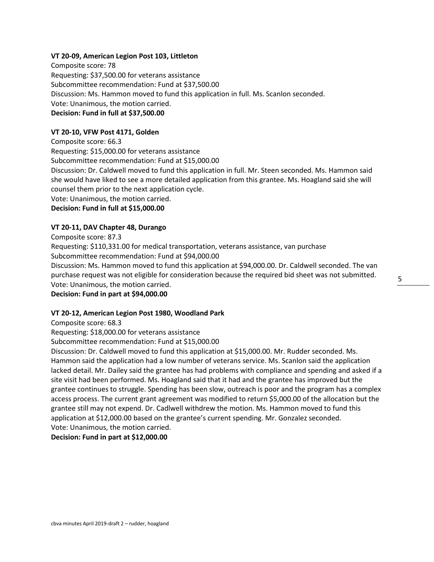## **VT 20-09, American Legion Post 103, Littleton**

Composite score: 78 Requesting: \$37,500.00 for veterans assistance Subcommittee recommendation: Fund at \$37,500.00 Discussion: Ms. Hammon moved to fund this application in full. Ms. Scanlon seconded. Vote: Unanimous, the motion carried. **Decision: Fund in full at \$37,500.00**

## **VT 20-10, VFW Post 4171, Golden**

Composite score: 66.3 Requesting: \$15,000.00 for veterans assistance Subcommittee recommendation: Fund at \$15,000.00 Discussion: Dr. Caldwell moved to fund this application in full. Mr. Steen seconded. Ms. Hammon said she would have liked to see a more detailed application from this grantee. Ms. Hoagland said she will counsel them prior to the next application cycle. Vote: Unanimous, the motion carried.

**Decision: Fund in full at \$15,000.00**

## **VT 20-11, DAV Chapter 48, Durango**

Composite score: 87.3

Requesting: \$110,331.00 for medical transportation, veterans assistance, van purchase Subcommittee recommendation: Fund at \$94,000.00

Discussion: Ms. Hammon moved to fund this application at \$94,000.00. Dr. Caldwell seconded. The van purchase request was not eligible for consideration because the required bid sheet was not submitted. Vote: Unanimous, the motion carried.

#### **Decision: Fund in part at \$94,000.00**

#### **VT 20-12, American Legion Post 1980, Woodland Park**

Composite score: 68.3

Requesting: \$18,000.00 for veterans assistance

Subcommittee recommendation: Fund at \$15,000.00

Discussion: Dr. Caldwell moved to fund this application at \$15,000.00. Mr. Rudder seconded. Ms. Hammon said the application had a low number of veterans service. Ms. Scanlon said the application lacked detail. Mr. Dailey said the grantee has had problems with compliance and spending and asked if a site visit had been performed. Ms. Hoagland said that it had and the grantee has improved but the grantee continues to struggle. Spending has been slow, outreach is poor and the program has a complex access process. The current grant agreement was modified to return \$5,000.00 of the allocation but the grantee still may not expend. Dr. Cadlwell withdrew the motion. Ms. Hammon moved to fund this application at \$12,000.00 based on the grantee's current spending. Mr. Gonzalez seconded. Vote: Unanimous, the motion carried.

#### **Decision: Fund in part at \$12,000.00**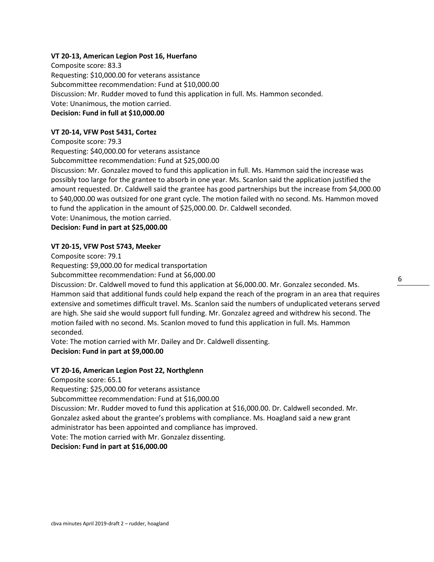## **VT 20-13, American Legion Post 16, Huerfano**

Composite score: 83.3 Requesting: \$10,000.00 for veterans assistance Subcommittee recommendation: Fund at \$10,000.00 Discussion: Mr. Rudder moved to fund this application in full. Ms. Hammon seconded. Vote: Unanimous, the motion carried. **Decision: Fund in full at \$10,000.00**

#### **VT 20-14, VFW Post 5431, Cortez**

Composite score: 79.3 Requesting: \$40,000.00 for veterans assistance Subcommittee recommendation: Fund at \$25,000.00 Discussion: Mr. Gonzalez moved to fund this application in full. Ms. Hammon said the increase was possibly too large for the grantee to absorb in one year. Ms. Scanlon said the application justified the amount requested. Dr. Caldwell said the grantee has good partnerships but the increase from \$4,000.00 to \$40,000.00 was outsized for one grant cycle. The motion failed with no second. Ms. Hammon moved to fund the application in the amount of \$25,000.00. Dr. Caldwell seconded. Vote: Unanimous, the motion carried. **Decision: Fund in part at \$25,000.00**

#### **VT 20-15, VFW Post 5743, Meeker**

Composite score: 79.1

Requesting: \$9,000.00 for medical transportation

Subcommittee recommendation: Fund at \$6,000.00

Discussion: Dr. Caldwell moved to fund this application at \$6,000.00. Mr. Gonzalez seconded. Ms. Hammon said that additional funds could help expand the reach of the program in an area that requires extensive and sometimes difficult travel. Ms. Scanlon said the numbers of unduplicated veterans served are high. She said she would support full funding. Mr. Gonzalez agreed and withdrew his second. The motion failed with no second. Ms. Scanlon moved to fund this application in full. Ms. Hammon seconded.

Vote: The motion carried with Mr. Dailey and Dr. Caldwell dissenting.

## **Decision: Fund in part at \$9,000.00**

#### **VT 20-16, American Legion Post 22, Northglenn**

Composite score: 65.1

Requesting: \$25,000.00 for veterans assistance

Subcommittee recommendation: Fund at \$16,000.00

Discussion: Mr. Rudder moved to fund this application at \$16,000.00. Dr. Caldwell seconded. Mr. Gonzalez asked about the grantee's problems with compliance. Ms. Hoagland said a new grant administrator has been appointed and compliance has improved.

Vote: The motion carried with Mr. Gonzalez dissenting.

# **Decision: Fund in part at \$16,000.00**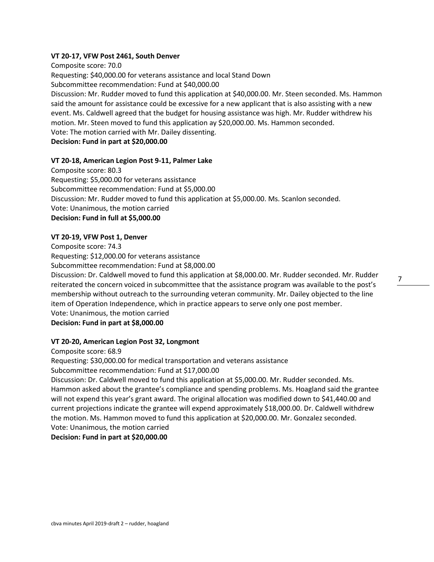## **VT 20-17, VFW Post 2461, South Denver**

Composite score: 70.0 Requesting: \$40,000.00 for veterans assistance and local Stand Down Subcommittee recommendation: Fund at \$40,000.00 Discussion: Mr. Rudder moved to fund this application at \$40,000.00. Mr. Steen seconded. Ms. Hammon said the amount for assistance could be excessive for a new applicant that is also assisting with a new event. Ms. Caldwell agreed that the budget for housing assistance was high. Mr. Rudder withdrew his motion. Mr. Steen moved to fund this application ay \$20,000.00. Ms. Hammon seconded. Vote: The motion carried with Mr. Dailey dissenting. **Decision: Fund in part at \$20,000.00**

#### **VT 20-18, American Legion Post 9-11, Palmer Lake**

Composite score: 80.3 Requesting: \$5,000.00 for veterans assistance Subcommittee recommendation: Fund at \$5,000.00 Discussion: Mr. Rudder moved to fund this application at \$5,000.00. Ms. Scanlon seconded. Vote: Unanimous, the motion carried **Decision: Fund in full at \$5,000.00**

## **VT 20-19, VFW Post 1, Denver**

Composite score: 74.3 Requesting: \$12,000.00 for veterans assistance Subcommittee recommendation: Fund at \$8,000.00 Discussion: Dr. Caldwell moved to fund this application at \$8,000.00. Mr. Rudder seconded. Mr. Rudder reiterated the concern voiced in subcommittee that the assistance program was available to the post's membership without outreach to the surrounding veteran community. Mr. Dailey objected to the line item of Operation Independence, which in practice appears to serve only one post member. Vote: Unanimous, the motion carried **Decision: Fund in part at \$8,000.00**

## **VT 20-20, American Legion Post 32, Longmont**

Composite score: 68.9 Requesting: \$30,000.00 for medical transportation and veterans assistance Subcommittee recommendation: Fund at \$17,000.00 Discussion: Dr. Caldwell moved to fund this application at \$5,000.00. Mr. Rudder seconded. Ms. Hammon asked about the grantee's compliance and spending problems. Ms. Hoagland said the grantee will not expend this year's grant award. The original allocation was modified down to \$41,440.00 and current projections indicate the grantee will expend approximately \$18,000.00. Dr. Caldwell withdrew the motion. Ms. Hammon moved to fund this application at \$20,000.00. Mr. Gonzalez seconded. Vote: Unanimous, the motion carried **Decision: Fund in part at \$20,000.00**

7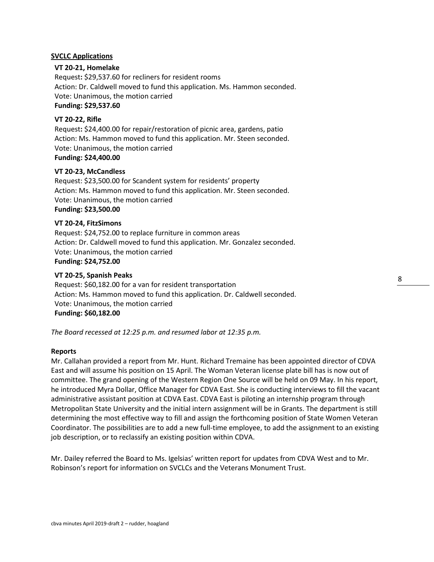# **SVCLC Applications**

## **VT 20-21, Homelake**

 Request**:** \$29,537.60 for recliners for resident rooms Action: Dr. Caldwell moved to fund this application. Ms. Hammon seconded. Vote: Unanimous, the motion carried **Funding: \$29,537.60**

# **VT 20-22, Rifle**

 Request**:** \$24,400.00 for repair/restoration of picnic area, gardens, patio Action: Ms. Hammon moved to fund this application. Mr. Steen seconded. Vote: Unanimous, the motion carried **Funding: \$24,400.00**

# **VT 20-23, McCandless**

Request: \$23,500.00 for Scandent system for residents' property Action: Ms. Hammon moved to fund this application. Mr. Steen seconded. Vote: Unanimous, the motion carried **Funding: \$23,500.00**

## **VT 20-24, FitzSimons**

Request: \$24,752.00 to replace furniture in common areas Action: Dr. Caldwell moved to fund this application. Mr. Gonzalez seconded. Vote: Unanimous, the motion carried **Funding: \$24,752.00**

## **VT 20-25, Spanish Peaks**

Request: \$60,182.00 for a van for resident transportation Action: Ms. Hammon moved to fund this application. Dr. Caldwell seconded. Vote: Unanimous, the motion carried **Funding: \$60,182.00**

*The Board recessed at 12:25 p.m. and resumed labor at 12:35 p.m.*

#### **Reports**

Mr. Callahan provided a report from Mr. Hunt. Richard Tremaine has been appointed director of CDVA East and will assume his position on 15 April. The Woman Veteran license plate bill has is now out of committee. The grand opening of the Western Region One Source will be held on 09 May. In his report, he introduced Myra Dollar, Office Manager for CDVA East. She is conducting interviews to fill the vacant administrative assistant position at CDVA East. CDVA East is piloting an internship program through Metropolitan State University and the initial intern assignment will be in Grants. The department is still determining the most effective way to fill and assign the forthcoming position of State Women Veteran Coordinator. The possibilities are to add a new full-time employee, to add the assignment to an existing job description, or to reclassify an existing position within CDVA.

Mr. Dailey referred the Board to Ms. Igelsias' written report for updates from CDVA West and to Mr. Robinson's report for information on SVCLCs and the Veterans Monument Trust.